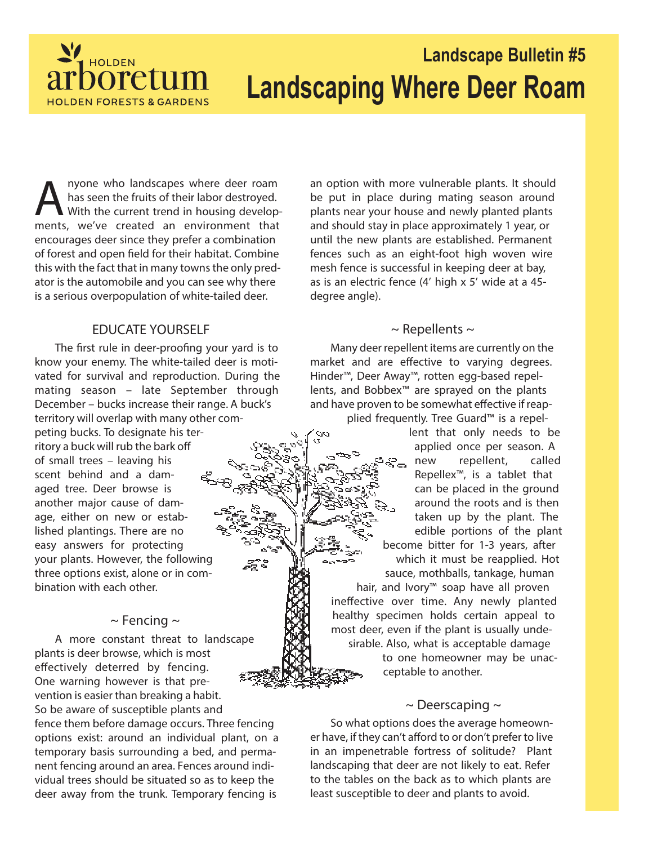

# **Landscape Bulletin #5 Landscaping Where Deer Roam**

A nyone who landscapes where deer roam<br>has seen the fruits of their labor destroyed.<br>With the current trend in housing develop<br>ments, we've created an environment that nyone who landscapes where deer roam has seen the fruits of their labor destroyed. With the current trend in housing developencourages deer since they prefer a combination of forest and open field for their habitat. Combine this with the fact that in many towns the only predator is the automobile and you can see why there is a serious overpopulation of white-tailed deer.

### **EDUCATE YOURSELF**

The first rule in deer-proofing your yard is to know your enemy. The white-tailed deer is motivated for survival and reproduction. During the mating season – late September through December – bucks increase their range. A buck's territory will overlap with many other com-

peting bucks. To designate his territory a buck will rub the bark off of small trees – leaving his scent behind and a damaged tree. Deer browse is another major cause of damage, either on new or established plantings. There are no easy answers for protecting your plants. However, the following three options exist, alone or in combination with each other.

### **~ Fencing ~**

A more constant threat to landscape plants is deer browse, which is most effectively deterred by fencing. One warning however is that prevention is easier than breaking a habit. So be aware of susceptible plants and fence them before damage occurs. Three fencing options exist: around an individual plant, on a temporary basis surrounding a bed, and permanent fencing around an area. Fences around individual trees should be situated so as to keep the deer away from the trunk. Temporary fencing is

an option with more vulnerable plants. It should be put in place during mating season around plants near your house and newly planted plants and should stay in place approximately 1 year, or until the new plants are established. Permanent fences such as an eight-foot high woven wire mesh fence is successful in keeping deer at bay, as is an electric fence (4' high x 5' wide at a 45 degree angle).

### **~ Repellents ~**

Many deer repellent items are currently on the market and are effective to varying degrees. Hinder™, Deer Away™, rotten egg-based repellents, and Bobbex™ are sprayed on the plants and have proven to be somewhat effective if reapplied frequently. Tree Guard™ is a repel-

lent that only needs to be applied once per season. A new repellent, called Repellex™, is a tablet that can be placed in the ground around the roots and is then taken up by the plant. The edible portions of the plant become bitter for 1-3 years, after which it must be reapplied. Hot sauce, mothballs, tankage, human

hair, and Ivory<sup>™</sup> soap have all proven ineffective over time. Any newly planted healthy specimen holds certain appeal to most deer, even if the plant is usually undesirable. Also, what is acceptable damage

> to one homeowner may be unacceptable to another.

### **~ Deerscaping ~**

So what options does the average homeowner have, if they can't afford to or don't prefer to live in an impenetrable fortress of solitude? Plant landscaping that deer are not likely to eat. Refer to the tables on the back as to which plants are least susceptible to deer and plants to avoid.